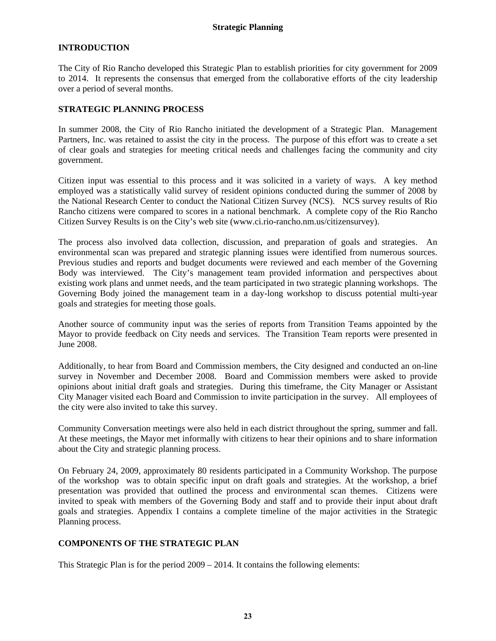## **INTRODUCTION**

The City of Rio Rancho developed this Strategic Plan to establish priorities for city government for 2009 to 2014. It represents the consensus that emerged from the collaborative efforts of the city leadership over a period of several months.

## **STRATEGIC PLANNING PROCESS**

In summer 2008, the City of Rio Rancho initiated the development of a Strategic Plan. Management Partners, Inc. was retained to assist the city in the process. The purpose of this effort was to create a set of clear goals and strategies for meeting critical needs and challenges facing the community and city government.

Citizen input was essential to this process and it was solicited in a variety of ways. A key method employed was a statistically valid survey of resident opinions conducted during the summer of 2008 by the National Research Center to conduct the National Citizen Survey (NCS). NCS survey results of Rio Rancho citizens were compared to scores in a national benchmark. A complete copy of the Rio Rancho Citizen Survey Results is on the City's web site (www.ci.rio-rancho.nm.us/citizensurvey).

The process also involved data collection, discussion, and preparation of goals and strategies. An environmental scan was prepared and strategic planning issues were identified from numerous sources. Previous studies and reports and budget documents were reviewed and each member of the Governing Body was interviewed. The City's management team provided information and perspectives about existing work plans and unmet needs, and the team participated in two strategic planning workshops. The Governing Body joined the management team in a day-long workshop to discuss potential multi-year goals and strategies for meeting those goals.

Another source of community input was the series of reports from Transition Teams appointed by the Mayor to provide feedback on City needs and services. The Transition Team reports were presented in June 2008.

Additionally, to hear from Board and Commission members, the City designed and conducted an on-line survey in November and December 2008. Board and Commission members were asked to provide opinions about initial draft goals and strategies. During this timeframe, the City Manager or Assistant City Manager visited each Board and Commission to invite participation in the survey. All employees of the city were also invited to take this survey.

Community Conversation meetings were also held in each district throughout the spring, summer and fall. At these meetings, the Mayor met informally with citizens to hear their opinions and to share information about the City and strategic planning process.

On February 24, 2009, approximately 80 residents participated in a Community Workshop. The purpose of the workshop was to obtain specific input on draft goals and strategies. At the workshop, a brief presentation was provided that outlined the process and environmental scan themes. Citizens were invited to speak with members of the Governing Body and staff and to provide their input about draft goals and strategies. Appendix I contains a complete timeline of the major activities in the Strategic Planning process.

# **COMPONENTS OF THE STRATEGIC PLAN**

This Strategic Plan is for the period 2009 – 2014. It contains the following elements: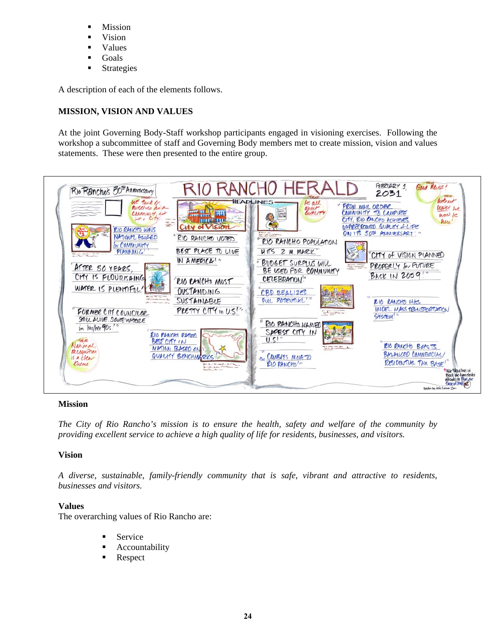- **Mission**
- Vision
- Values
- **Goals**
- **Strategies**

A description of each of the elements follows.

# **MISSION, VISION AND VALUES**

At the joint Governing Body-Staff workshop participants engaged in visioning exercises. Following the workshop a subcommittee of staff and Governing Body members met to create mission, vision and values statements. These were then presented to the entire group.



## **Mission**

*The City of Rio Rancho's mission is to ensure the health, safety and welfare of the community by providing excellent service to achieve a high quality of life for residents, businesses, and visitors.* 

## **Vision**

*A diverse, sustainable, family-friendly community that is safe, vibrant and attractive to residents, businesses and visitors.* 

## **Values**

The overarching values of Rio Rancho are:

- Service
- Accountability
- **Respect**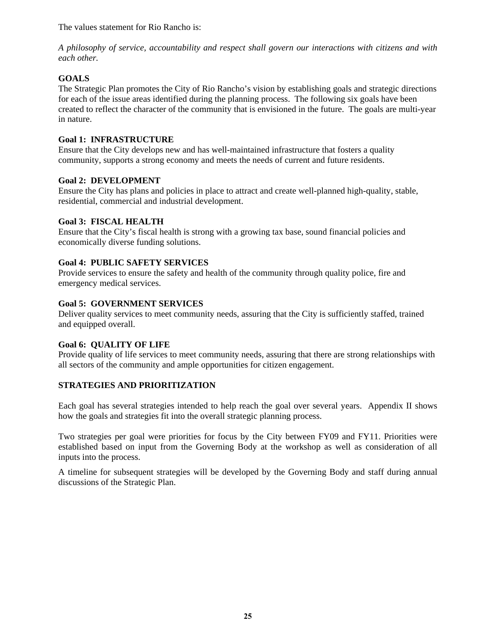The values statement for Rio Rancho is:

*A philosophy of service, accountability and respect shall govern our interactions with citizens and with each other.* 

# **GOALS**

The Strategic Plan promotes the City of Rio Rancho's vision by establishing goals and strategic directions for each of the issue areas identified during the planning process. The following six goals have been created to reflect the character of the community that is envisioned in the future. The goals are multi-year in nature.

# **Goal 1: INFRASTRUCTURE**

Ensure that the City develops new and has well-maintained infrastructure that fosters a quality community, supports a strong economy and meets the needs of current and future residents.

# **Goal 2: DEVELOPMENT**

Ensure the City has plans and policies in place to attract and create well-planned high-quality, stable, residential, commercial and industrial development.

# **Goal 3: FISCAL HEALTH**

Ensure that the City's fiscal health is strong with a growing tax base, sound financial policies and economically diverse funding solutions.

# **Goal 4: PUBLIC SAFETY SERVICES**

Provide services to ensure the safety and health of the community through quality police, fire and emergency medical services.

# **Goal 5: GOVERNMENT SERVICES**

Deliver quality services to meet community needs, assuring that the City is sufficiently staffed, trained and equipped overall.

## **Goal 6: QUALITY OF LIFE**

Provide quality of life services to meet community needs, assuring that there are strong relationships with all sectors of the community and ample opportunities for citizen engagement.

# **STRATEGIES AND PRIORITIZATION**

Each goal has several strategies intended to help reach the goal over several years. Appendix II shows how the goals and strategies fit into the overall strategic planning process.

Two strategies per goal were priorities for focus by the City between FY09 and FY11. Priorities were established based on input from the Governing Body at the workshop as well as consideration of all inputs into the process.

A timeline for subsequent strategies will be developed by the Governing Body and staff during annual discussions of the Strategic Plan.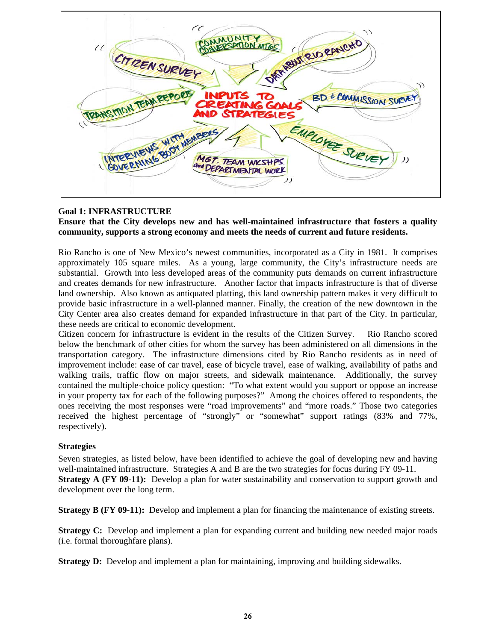DEPARTMENT RID EANCHO MUNIT CITIZEN SURVEY **REANS MON TEAM REPORTS** BD. & COMMISSION SURV lES EMPLOYEE SURVEY COVERNING 800Y MEMBER MET. TEAM WKSHPS And DEPARTMENTAL WORK

# **Goal 1: INFRASTRUCTURE**

## **Ensure that the City develops new and has well-maintained infrastructure that fosters a quality community, supports a strong economy and meets the needs of current and future residents.**

Rio Rancho is one of New Mexico's newest communities, incorporated as a City in 1981. It comprises approximately 105 square miles. As a young, large community, the City's infrastructure needs are substantial. Growth into less developed areas of the community puts demands on current infrastructure and creates demands for new infrastructure. Another factor that impacts infrastructure is that of diverse land ownership. Also known as antiquated platting, this land ownership pattern makes it very difficult to provide basic infrastructure in a well-planned manner. Finally, the creation of the new downtown in the City Center area also creates demand for expanded infrastructure in that part of the City. In particular, these needs are critical to economic development.

Citizen concern for infrastructure is evident in the results of the Citizen Survey. Rio Rancho scored below the benchmark of other cities for whom the survey has been administered on all dimensions in the transportation category. The infrastructure dimensions cited by Rio Rancho residents as in need of improvement include: ease of car travel, ease of bicycle travel, ease of walking, availability of paths and walking trails, traffic flow on major streets, and sidewalk maintenance. Additionally, the survey contained the multiple-choice policy question: "To what extent would you support or oppose an increase in your property tax for each of the following purposes?" Among the choices offered to respondents, the ones receiving the most responses were "road improvements" and "more roads." Those two categories received the highest percentage of "strongly" or "somewhat" support ratings (83% and 77%, respectively).

## **Strategies**

Seven strategies, as listed below, have been identified to achieve the goal of developing new and having well-maintained infrastructure. Strategies A and B are the two strategies for focus during FY 09-11. **Strategy A (FY 09-11):** Develop a plan for water sustainability and conservation to support growth and development over the long term.

**Strategy B (FY 09-11):** Develop and implement a plan for financing the maintenance of existing streets.

**Strategy C:** Develop and implement a plan for expanding current and building new needed major roads (i.e. formal thoroughfare plans).

**Strategy D:** Develop and implement a plan for maintaining, improving and building sidewalks.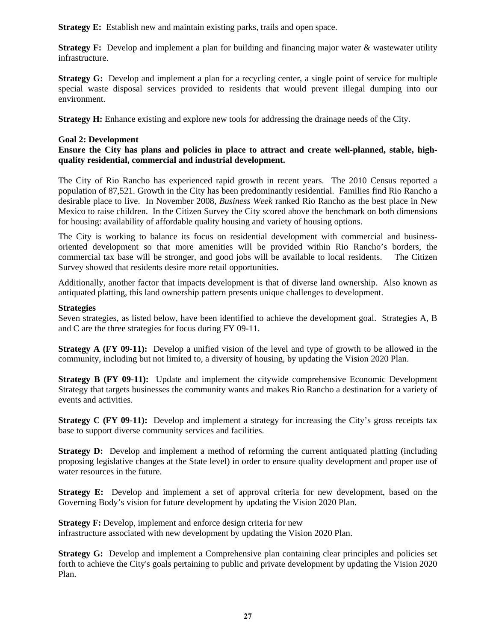**Strategy E:** Establish new and maintain existing parks, trails and open space.

**Strategy F:** Develop and implement a plan for building and financing major water & wastewater utility infrastructure.

**Strategy G:** Develop and implement a plan for a recycling center, a single point of service for multiple special waste disposal services provided to residents that would prevent illegal dumping into our environment.

**Strategy H:** Enhance existing and explore new tools for addressing the drainage needs of the City.

## **Goal 2: Development**

# **Ensure the City has plans and policies in place to attract and create well-planned, stable, highquality residential, commercial and industrial development.**

The City of Rio Rancho has experienced rapid growth in recent years. The 2010 Census reported a population of 87,521. Growth in the City has been predominantly residential. Families find Rio Rancho a desirable place to live. In November 2008, *Business Week* ranked Rio Rancho as the best place in New Mexico to raise children. In the Citizen Survey the City scored above the benchmark on both dimensions for housing: availability of affordable quality housing and variety of housing options.

The City is working to balance its focus on residential development with commercial and businessoriented development so that more amenities will be provided within Rio Rancho's borders, the commercial tax base will be stronger, and good jobs will be available to local residents. The Citizen Survey showed that residents desire more retail opportunities.

Additionally, another factor that impacts development is that of diverse land ownership. Also known as antiquated platting, this land ownership pattern presents unique challenges to development.

## **Strategies**

Seven strategies, as listed below, have been identified to achieve the development goal. Strategies A, B and C are the three strategies for focus during FY 09-11.

**Strategy A (FY 09-11):** Develop a unified vision of the level and type of growth to be allowed in the community, including but not limited to, a diversity of housing, by updating the Vision 2020 Plan.

**Strategy B (FY 09-11):** Update and implement the citywide comprehensive Economic Development Strategy that targets businesses the community wants and makes Rio Rancho a destination for a variety of events and activities.

**Strategy C (FY 09-11):** Develop and implement a strategy for increasing the City's gross receipts tax base to support diverse community services and facilities.

**Strategy D:** Develop and implement a method of reforming the current antiquated platting (including proposing legislative changes at the State level) in order to ensure quality development and proper use of water resources in the future.

**Strategy E:** Develop and implement a set of approval criteria for new development, based on the Governing Body's vision for future development by updating the Vision 2020 Plan.

**Strategy F:** Develop, implement and enforce design criteria for new infrastructure associated with new development by updating the Vision 2020 Plan.

**Strategy G:** Develop and implement a Comprehensive plan containing clear principles and policies set forth to achieve the City's goals pertaining to public and private development by updating the Vision 2020 Plan.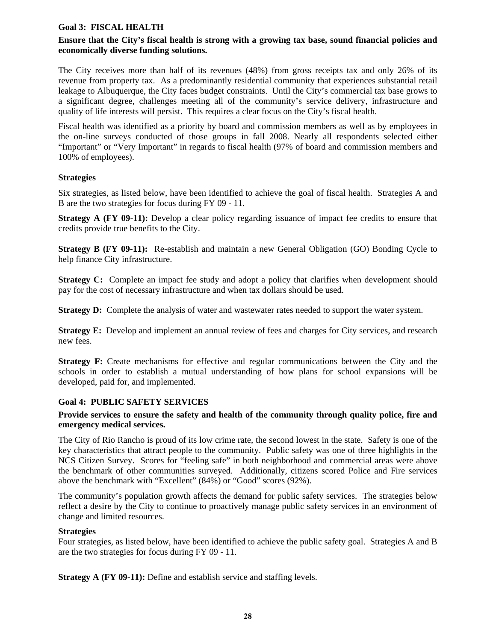## **Goal 3: FISCAL HEALTH**

## **Ensure that the City's fiscal health is strong with a growing tax base, sound financial policies and economically diverse funding solutions.**

The City receives more than half of its revenues (48%) from gross receipts tax and only 26% of its revenue from property tax. As a predominantly residential community that experiences substantial retail leakage to Albuquerque, the City faces budget constraints. Until the City's commercial tax base grows to a significant degree, challenges meeting all of the community's service delivery, infrastructure and quality of life interests will persist. This requires a clear focus on the City's fiscal health.

Fiscal health was identified as a priority by board and commission members as well as by employees in the on-line surveys conducted of those groups in fall 2008. Nearly all respondents selected either "Important" or "Very Important" in regards to fiscal health (97% of board and commission members and 100% of employees).

# **Strategies**

Six strategies, as listed below, have been identified to achieve the goal of fiscal health. Strategies A and B are the two strategies for focus during FY 09 - 11.

**Strategy A (FY 09-11):** Develop a clear policy regarding issuance of impact fee credits to ensure that credits provide true benefits to the City.

**Strategy B (FY 09-11):** Re-establish and maintain a new General Obligation (GO) Bonding Cycle to help finance City infrastructure.

**Strategy C:** Complete an impact fee study and adopt a policy that clarifies when development should pay for the cost of necessary infrastructure and when tax dollars should be used.

**Strategy D:** Complete the analysis of water and wastewater rates needed to support the water system.

**Strategy E:** Develop and implement an annual review of fees and charges for City services, and research new fees.

**Strategy F:** Create mechanisms for effective and regular communications between the City and the schools in order to establish a mutual understanding of how plans for school expansions will be developed, paid for, and implemented.

## **Goal 4: PUBLIC SAFETY SERVICES**

## **Provide services to ensure the safety and health of the community through quality police, fire and emergency medical services.**

The City of Rio Rancho is proud of its low crime rate, the second lowest in the state. Safety is one of the key characteristics that attract people to the community. Public safety was one of three highlights in the NCS Citizen Survey. Scores for "feeling safe" in both neighborhood and commercial areas were above the benchmark of other communities surveyed. Additionally, citizens scored Police and Fire services above the benchmark with "Excellent" (84%) or "Good" scores (92%).

The community's population growth affects the demand for public safety services. The strategies below reflect a desire by the City to continue to proactively manage public safety services in an environment of change and limited resources.

## **Strategies**

Four strategies, as listed below, have been identified to achieve the public safety goal. Strategies A and B are the two strategies for focus during FY 09 - 11.

**Strategy A (FY 09-11):** Define and establish service and staffing levels.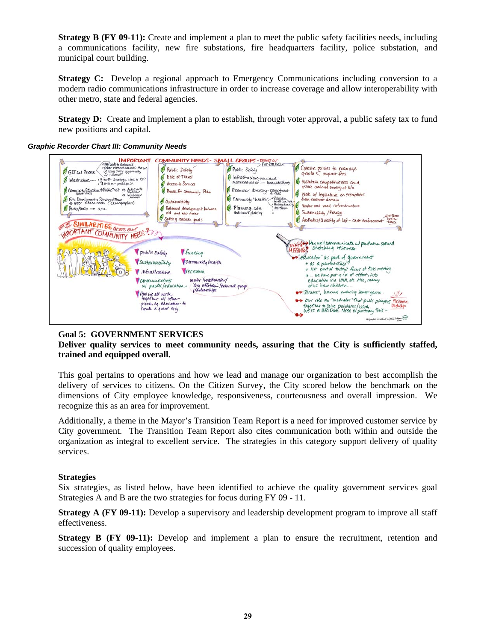**Strategy B (FY 09-11):** Create and implement a plan to meet the public safety facilities needs, including a communications facility, new fire substations, fire headquarters facility, police substation, and municipal court building.

**Strategy C:** Develop a regional approach to Emergency Communications including conversion to a modern radio communications infrastructure in order to increase coverage and allow interoperability with other metro, state and federal agencies.

**Strategy D:** Create and implement a plan to establish, through voter approval, a public safety tax to fund new positions and capital.

#### COMMUNITY NEEDS - SMALL GROUPS - REPORT OUT **IMPORTANT #Netlands to enhance**<br>#Other revenue sources : Are we<br>utilizing erery opportunity<br>for income Chesix policies to manage<br>graviti < impact fees Public Safety Public Safoty **6** GPT and Permie Ease of Travel Infrastructure-new and Mamfair competitive ress and Infrastructure - growth stategy link to CIP Access to Services<br>• Process for Community Plan Unak utv. Shoots Community Education > Public Trist en Anti-grante Economic directive-commitment assue comment what we are emphored when the strain of the strain of the strain of the strain of the strain of the strain of the strain of the strain of the strain of the strain of the strain of the strain of the strain of en Infante Community "health" Edication  $\bigcirc$  Sustainability Wakrand road infrastructure  $A$  Partistrials  $\rightarrow$   $aou$ Balanced development between ❹ Planning-solve Sustainability / Brengy automaked platting Setting realistic goals Besthetics/ Guality of Life - code ent SIMILARITIES across our  $\mathbb{Z}$  $\sqrt{2}$ INPORTANT COMMUNITY NEEDS? (martis Hau well communicate up partners around<br>MISSING) Stotching resources Public safety *Aunding* education as part of government Sustainability Community health \* as a partnerskip" = as a partners and the filters of this meeting.<br>= Not part of the day's fieles of this meeting.<br>= education via UNN, etc. Asso, many *Infrastructure* Trecreation water /waskwater/ Communications dry utilities / external w/ public/education of us have children How we all work<br>together w/ other<br>piech, eq. education - to<br>Create a great city -"Seniors", bromers entering source years  $W$ Our rile as "mediator" that pulls players Facilities<br>happiers to solve publems / issues. har the us measured that player<br>hardles to solve problems/issues.<br>We're a BRIDGE Need to portrary this-مستخدم استرادة بنادية وخفاده **G Quyckit in**

#### *Graphic Recorder Chart III: Community Needs*

# **Goal 5: GOVERNMENT SERVICES**

**Deliver quality services to meet community needs, assuring that the City is sufficiently staffed, trained and equipped overall.**

This goal pertains to operations and how we lead and manage our organization to best accomplish the delivery of services to citizens. On the Citizen Survey, the City scored below the benchmark on the dimensions of City employee knowledge, responsiveness, courteousness and overall impression. We recognize this as an area for improvement.

Additionally, a theme in the Mayor's Transition Team Report is a need for improved customer service by City government. The Transition Team Report also cites communication both within and outside the organization as integral to excellent service. The strategies in this category support delivery of quality services.

#### **Strategies**

Six strategies, as listed below, have been identified to achieve the quality government services goal Strategies A and B are the two strategies for focus during FY 09 - 11.

**Strategy A (FY 09-11):** Develop a supervisory and leadership development program to improve all staff effectiveness.

**Strategy B (FY 09-11):** Develop and implement a plan to ensure the recruitment, retention and succession of quality employees.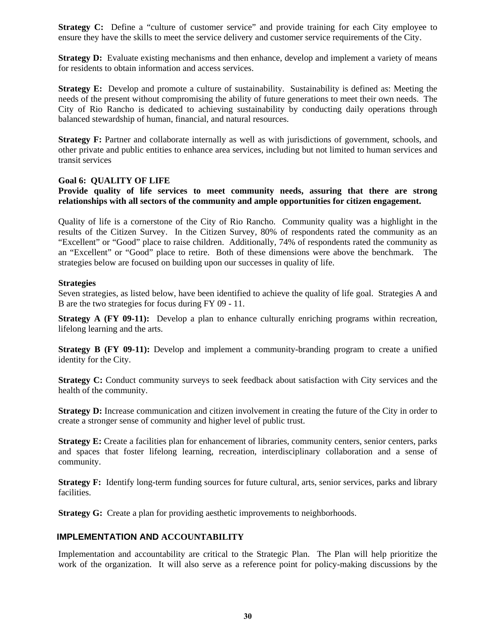**Strategy C:** Define a "culture of customer service" and provide training for each City employee to ensure they have the skills to meet the service delivery and customer service requirements of the City.

**Strategy D:** Evaluate existing mechanisms and then enhance, develop and implement a variety of means for residents to obtain information and access services.

**Strategy E:** Develop and promote a culture of sustainability. Sustainability is defined as: Meeting the needs of the present without compromising the ability of future generations to meet their own needs. The City of Rio Rancho is dedicated to achieving sustainability by conducting daily operations through balanced stewardship of human, financial, and natural resources.

**Strategy F:** Partner and collaborate internally as well as with jurisdictions of government, schools, and other private and public entities to enhance area services, including but not limited to human services and transit services

#### **Goal 6: QUALITY OF LIFE**

## **Provide quality of life services to meet community needs, assuring that there are strong relationships with all sectors of the community and ample opportunities for citizen engagement.**

Quality of life is a cornerstone of the City of Rio Rancho. Community quality was a highlight in the results of the Citizen Survey. In the Citizen Survey, 80% of respondents rated the community as an "Excellent" or "Good" place to raise children. Additionally, 74% of respondents rated the community as an "Excellent" or "Good" place to retire. Both of these dimensions were above the benchmark. The strategies below are focused on building upon our successes in quality of life.

#### **Strategies**

Seven strategies, as listed below, have been identified to achieve the quality of life goal. Strategies A and B are the two strategies for focus during FY 09 - 11.

**Strategy A (FY 09-11):** Develop a plan to enhance culturally enriching programs within recreation, lifelong learning and the arts.

**Strategy B (FY 09-11):** Develop and implement a community-branding program to create a unified identity for the City.

**Strategy C:** Conduct community surveys to seek feedback about satisfaction with City services and the health of the community.

**Strategy D:** Increase communication and citizen involvement in creating the future of the City in order to create a stronger sense of community and higher level of public trust.

**Strategy E:** Create a facilities plan for enhancement of libraries, community centers, senior centers, parks and spaces that foster lifelong learning, recreation, interdisciplinary collaboration and a sense of community.

**Strategy F:** Identify long-term funding sources for future cultural, arts, senior services, parks and library facilities.

**Strategy G:** Create a plan for providing aesthetic improvements to neighborhoods.

## **IMPLEMENTATION AND ACCOUNTABILITY**

Implementation and accountability are critical to the Strategic Plan. The Plan will help prioritize the work of the organization. It will also serve as a reference point for policy-making discussions by the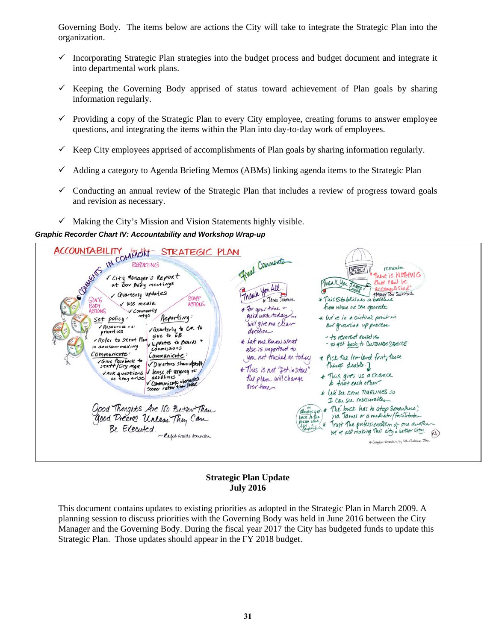Governing Body. The items below are actions the City will take to integrate the Strategic Plan into the organization.

- $\checkmark$  Incorporating Strategic Plan strategies into the budget process and budget document and integrate it into departmental work plans.
- $\checkmark$  Keeping the Governing Body apprised of status toward achievement of Plan goals by sharing information regularly.
- $\checkmark$  Providing a copy of the Strategic Plan to every City employee, creating forums to answer employee questions, and integrating the items within the Plan into day-to-day work of employees.
- $\checkmark$  Keep City employees apprised of accomplishments of Plan goals by sharing information regularly.
- $\checkmark$  Adding a category to Agenda Briefing Memos (ABMs) linking agenda items to the Strategic Plan
- $\checkmark$  Conducting an annual review of the Strategic Plan that includes a review of progress toward goals and revision as necessary.
- $\checkmark$  Making the City's Mission and Vision Statements highly visible.

#### *Graphic Recorder Chart IV: Accountability and Workshop Wrap-up*

| STRATEGIC PLAN<br>CONTRACT IN COMMON<br>City Manager's Report<br>at Gov Dody meetings<br>V Quarterly updates<br>STAFF<br>GovG<br>V Use media<br><b>ACTIONS</b><br>BODY<br>V Community<br>ACTIONS<br>mtgs<br>Reporting.<br>Set policy:<br>/ Resources re:<br>vavarterly to CM to<br>priorities<br>give to GB<br>Refer to Strat Plan<br>vupdates to Boards +<br>in decision making<br>Commissions<br>Communicate:<br>Communicute:<br>VGive feedback to<br>V Directors show with the<br>staff/City MgR<br>VASK questions V Sense of urgency re<br>deadlines<br>as they arise<br>Communicate obstacles<br>Good Thoughts Are No Better Than<br>Good Dreams Unless They Can | Final Comments<br>remember<br><b>SACRO</b><br>use is NOTHING<br>Mark You JANA<br>not can't be<br>Thank You All.<br>accomplished<br>*Mayor Tom Swisstack<br>* This Stablishes a batchere<br>& James Jimenez<br>from where we can operate<br>* For your time +<br>good work today<br>* lutive in a critical point in<br>will give me clear<br>our growing up process<br>direction<br>- to reinvent ourselves<br>* Let me know what<br>- to get back to Curromer Spevice<br>else is important to<br>* Pick the low-level fruit, those<br>you not touched on today<br>Things doable 1<br>* This is not "set in stone".<br>* This gives us a chance<br>The plan will change<br>to frist each other.<br>over time.<br>* let'see some TIMELINES so<br>I can see measurables<br>The buck has to stop somewhere"<br>almays get<br>via Tames or a mediator/facilitator<br>back to the<br>person who<br>Trust The professionalism of one another-<br>We're all making This city a better city.<br>P.6 |
|-----------------------------------------------------------------------------------------------------------------------------------------------------------------------------------------------------------------------------------------------------------------------------------------------------------------------------------------------------------------------------------------------------------------------------------------------------------------------------------------------------------------------------------------------------------------------------------------------------------------------------------------------------------------------|--------------------------------------------------------------------------------------------------------------------------------------------------------------------------------------------------------------------------------------------------------------------------------------------------------------------------------------------------------------------------------------------------------------------------------------------------------------------------------------------------------------------------------------------------------------------------------------------------------------------------------------------------------------------------------------------------------------------------------------------------------------------------------------------------------------------------------------------------------------------------------------------------------------------------------------------------------------------------------------------|
| - Ralph walds Emerin                                                                                                                                                                                                                                                                                                                                                                                                                                                                                                                                                                                                                                                  | 6 Grephic Broading by Islie Salmon-Zhu                                                                                                                                                                                                                                                                                                                                                                                                                                                                                                                                                                                                                                                                                                                                                                                                                                                                                                                                                     |

## **Strategic Plan Update July 2016**

This document contains updates to existing priorities as adopted in the Strategic Plan in March 2009. A planning session to discuss priorities with the Governing Body was held in June 2016 between the City Manager and the Governing Body. During the fiscal year 2017 the City has budgeted funds to update this Strategic Plan. Those updates should appear in the FY 2018 budget.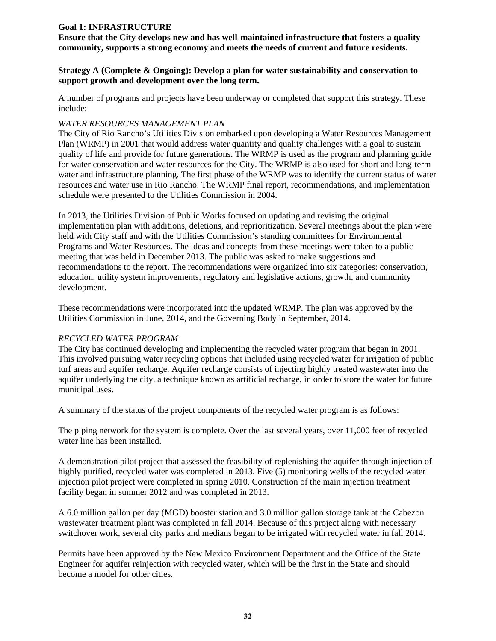# **Goal 1: INFRASTRUCTURE**

**Ensure that the City develops new and has well-maintained infrastructure that fosters a quality community, supports a strong economy and meets the needs of current and future residents.** 

#### **Strategy A (Complete & Ongoing): Develop a plan for water sustainability and conservation to support growth and development over the long term.**

A number of programs and projects have been underway or completed that support this strategy. These include:

#### *WATER RESOURCES MANAGEMENT PLAN*

The City of Rio Rancho's Utilities Division embarked upon developing a Water Resources Management Plan (WRMP) in 2001 that would address water quantity and quality challenges with a goal to sustain quality of life and provide for future generations. The WRMP is used as the program and planning guide for water conservation and water resources for the City. The WRMP is also used for short and long-term water and infrastructure planning. The first phase of the WRMP was to identify the current status of water resources and water use in Rio Rancho. The WRMP final report, recommendations, and implementation schedule were presented to the Utilities Commission in 2004.

In 2013, the Utilities Division of Public Works focused on updating and revising the original implementation plan with additions, deletions, and reprioritization. Several meetings about the plan were held with City staff and with the Utilities Commission's standing committees for Environmental Programs and Water Resources. The ideas and concepts from these meetings were taken to a public meeting that was held in December 2013. The public was asked to make suggestions and recommendations to the report. The recommendations were organized into six categories: conservation, education, utility system improvements, regulatory and legislative actions, growth, and community development.

These recommendations were incorporated into the updated WRMP. The plan was approved by the Utilities Commission in June, 2014, and the Governing Body in September, 2014.

## *RECYCLED WATER PROGRAM*

The City has continued developing and implementing the recycled water program that began in 2001. This involved pursuing water recycling options that included using recycled water for irrigation of public turf areas and aquifer recharge. Aquifer recharge consists of injecting highly treated wastewater into the aquifer underlying the city, a technique known as artificial recharge, in order to store the water for future municipal uses.

A summary of the status of the project components of the recycled water program is as follows:

The piping network for the system is complete. Over the last several years, over 11,000 feet of recycled water line has been installed.

A demonstration pilot project that assessed the feasibility of replenishing the aquifer through injection of highly purified, recycled water was completed in 2013. Five (5) monitoring wells of the recycled water injection pilot project were completed in spring 2010. Construction of the main injection treatment facility began in summer 2012 and was completed in 2013.

A 6.0 million gallon per day (MGD) booster station and 3.0 million gallon storage tank at the Cabezon wastewater treatment plant was completed in fall 2014. Because of this project along with necessary switchover work, several city parks and medians began to be irrigated with recycled water in fall 2014.

Permits have been approved by the New Mexico Environment Department and the Office of the State Engineer for aquifer reinjection with recycled water, which will be the first in the State and should become a model for other cities.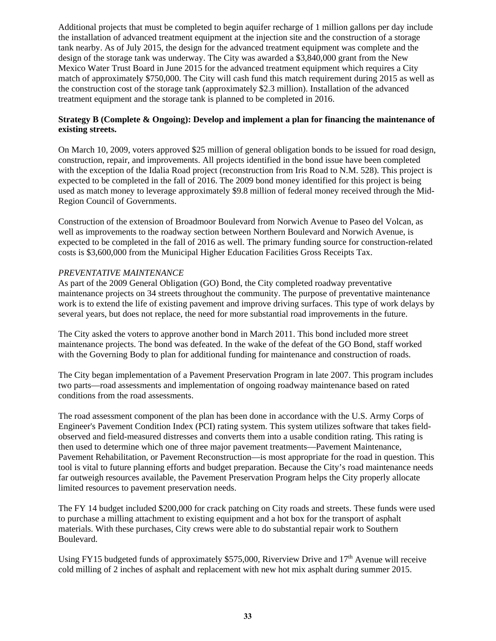Additional projects that must be completed to begin aquifer recharge of 1 million gallons per day include the installation of advanced treatment equipment at the injection site and the construction of a storage tank nearby. As of July 2015, the design for the advanced treatment equipment was complete and the design of the storage tank was underway. The City was awarded a \$3,840,000 grant from the New Mexico Water Trust Board in June 2015 for the advanced treatment equipment which requires a City match of approximately \$750,000. The City will cash fund this match requirement during 2015 as well as the construction cost of the storage tank (approximately \$2.3 million). Installation of the advanced treatment equipment and the storage tank is planned to be completed in 2016.

# **Strategy B (Complete & Ongoing): Develop and implement a plan for financing the maintenance of existing streets.**

On March 10, 2009, voters approved \$25 million of general obligation bonds to be issued for road design, construction, repair, and improvements. All projects identified in the bond issue have been completed with the exception of the Idalia Road project (reconstruction from Iris Road to N.M. 528). This project is expected to be completed in the fall of 2016. The 2009 bond money identified for this project is being used as match money to leverage approximately \$9.8 million of federal money received through the Mid-Region Council of Governments.

Construction of the extension of Broadmoor Boulevard from Norwich Avenue to Paseo del Volcan, as well as improvements to the roadway section between Northern Boulevard and Norwich Avenue, is expected to be completed in the fall of 2016 as well. The primary funding source for construction-related costs is \$3,600,000 from the Municipal Higher Education Facilities Gross Receipts Tax.

## *PREVENTATIVE MAINTENANCE*

As part of the 2009 General Obligation (GO) Bond, the City completed roadway preventative maintenance projects on 34 streets throughout the community. The purpose of preventative maintenance work is to extend the life of existing pavement and improve driving surfaces. This type of work delays by several years, but does not replace, the need for more substantial road improvements in the future.

The City asked the voters to approve another bond in March 2011. This bond included more street maintenance projects. The bond was defeated. In the wake of the defeat of the GO Bond, staff worked with the Governing Body to plan for additional funding for maintenance and construction of roads.

The City began implementation of a Pavement Preservation Program in late 2007. This program includes two parts—road assessments and implementation of ongoing roadway maintenance based on rated conditions from the road assessments.

The road assessment component of the plan has been done in accordance with the U.S. Army Corps of Engineer's Pavement Condition Index (PCI) rating system. This system utilizes software that takes fieldobserved and field-measured distresses and converts them into a usable condition rating. This rating is then used to determine which one of three major pavement treatments—Pavement Maintenance, Pavement Rehabilitation, or Pavement Reconstruction—is most appropriate for the road in question. This tool is vital to future planning efforts and budget preparation. Because the City's road maintenance needs far outweigh resources available, the Pavement Preservation Program helps the City properly allocate limited resources to pavement preservation needs.

The FY 14 budget included \$200,000 for crack patching on City roads and streets. These funds were used to purchase a milling attachment to existing equipment and a hot box for the transport of asphalt materials. With these purchases, City crews were able to do substantial repair work to Southern Boulevard.

Using FY15 budgeted funds of approximately \$575,000, Riverview Drive and  $17<sup>th</sup>$  Avenue will receive cold milling of 2 inches of asphalt and replacement with new hot mix asphalt during summer 2015.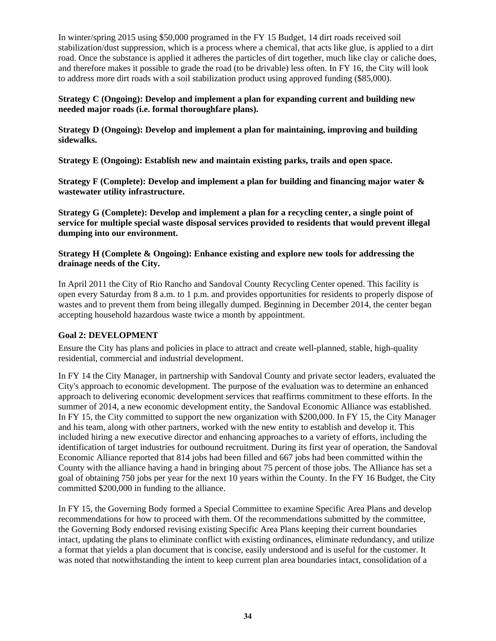In winter/spring 2015 using \$50,000 programed in the FY 15 Budget, 14 dirt roads received soil stabilization/dust suppression, which is a process where a chemical, that acts like glue, is applied to a dirt road. Once the substance is applied it adheres the particles of dirt together, much like clay or caliche does, and therefore makes it possible to grade the road (to be drivable) less often. In FY 16, the City will look to address more dirt roads with a soil stabilization product using approved funding (\$85,000).

## **Strategy C (Ongoing): Develop and implement a plan for expanding current and building new needed major roads (i.e. formal thoroughfare plans).**

**Strategy D (Ongoing): Develop and implement a plan for maintaining, improving and building sidewalks.** 

**Strategy E (Ongoing): Establish new and maintain existing parks, trails and open space.** 

**Strategy F (Complete): Develop and implement a plan for building and financing major water & wastewater utility infrastructure.** 

**Strategy G (Complete): Develop and implement a plan for a recycling center, a single point of service for multiple special waste disposal services provided to residents that would prevent illegal dumping into our environment.** 

**Strategy H (Complete & Ongoing): Enhance existing and explore new tools for addressing the drainage needs of the City.**

In April 2011 the City of Rio Rancho and Sandoval County Recycling Center opened. This facility is open every Saturday from 8 a.m. to 1 p.m. and provides opportunities for residents to properly dispose of wastes and to prevent them from being illegally dumped. Beginning in December 2014, the center began accepting household hazardous waste twice a month by appointment.

## **Goal 2: DEVELOPMENT**

Ensure the City has plans and policies in place to attract and create well-planned, stable, high-quality residential, commercial and industrial development.

In FY 14 the City Manager, in partnership with Sandoval County and private sector leaders, evaluated the City's approach to economic development. The purpose of the evaluation was to determine an enhanced approach to delivering economic development services that reaffirms commitment to these efforts. In the summer of 2014, a new economic development entity, the Sandoval Economic Alliance was established. In FY 15, the City committed to support the new organization with \$200,000. In FY 15, the City Manager and his team, along with other partners, worked with the new entity to establish and develop it. This included hiring a new executive director and enhancing approaches to a variety of efforts, including the identification of target industries for outbound recruitment. During its first year of operation, the Sandoval Economic Alliance reported that 814 jobs had been filled and 667 jobs had been committed within the County with the alliance having a hand in bringing about 75 percent of those jobs. The Alliance has set a goal of obtaining 750 jobs per year for the next 10 years within the County. In the FY 16 Budget, the City committed \$200,000 in funding to the alliance.

In FY 15, the Governing Body formed a Special Committee to examine Specific Area Plans and develop recommendations for how to proceed with them. Of the recommendations submitted by the committee, the Governing Body endorsed revising existing Specific Area Plans keeping their current boundaries intact, updating the plans to eliminate conflict with existing ordinances, eliminate redundancy, and utilize a format that yields a plan document that is concise, easily understood and is useful for the customer. It was noted that notwithstanding the intent to keep current plan area boundaries intact, consolidation of a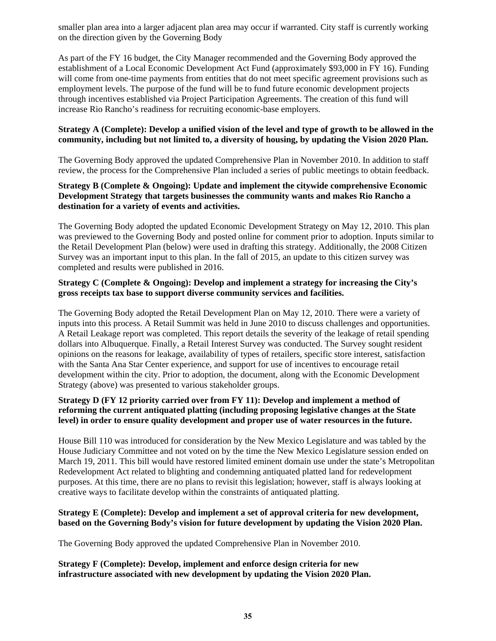smaller plan area into a larger adjacent plan area may occur if warranted. City staff is currently working on the direction given by the Governing Body

As part of the FY 16 budget, the City Manager recommended and the Governing Body approved the establishment of a Local Economic Development Act Fund (approximately \$93,000 in FY 16). Funding will come from one-time payments from entities that do not meet specific agreement provisions such as employment levels. The purpose of the fund will be to fund future economic development projects through incentives established via Project Participation Agreements. The creation of this fund will increase Rio Rancho's readiness for recruiting economic-base employers.

## **Strategy A (Complete): Develop a unified vision of the level and type of growth to be allowed in the community, including but not limited to, a diversity of housing, by updating the Vision 2020 Plan.**

The Governing Body approved the updated Comprehensive Plan in November 2010. In addition to staff review, the process for the Comprehensive Plan included a series of public meetings to obtain feedback.

## **Strategy B (Complete & Ongoing): Update and implement the citywide comprehensive Economic Development Strategy that targets businesses the community wants and makes Rio Rancho a destination for a variety of events and activities.**

The Governing Body adopted the updated Economic Development Strategy on May 12, 2010. This plan was previewed to the Governing Body and posted online for comment prior to adoption. Inputs similar to the Retail Development Plan (below) were used in drafting this strategy. Additionally, the 2008 Citizen Survey was an important input to this plan. In the fall of 2015, an update to this citizen survey was completed and results were published in 2016.

## **Strategy C (Complete & Ongoing): Develop and implement a strategy for increasing the City's gross receipts tax base to support diverse community services and facilities.**

The Governing Body adopted the Retail Development Plan on May 12, 2010. There were a variety of inputs into this process. A Retail Summit was held in June 2010 to discuss challenges and opportunities. A Retail Leakage report was completed. This report details the severity of the leakage of retail spending dollars into Albuquerque. Finally, a Retail Interest Survey was conducted. The Survey sought resident opinions on the reasons for leakage, availability of types of retailers, specific store interest, satisfaction with the Santa Ana Star Center experience, and support for use of incentives to encourage retail development within the city. Prior to adoption, the document, along with the Economic Development Strategy (above) was presented to various stakeholder groups.

# **Strategy D (FY 12 priority carried over from FY 11): Develop and implement a method of reforming the current antiquated platting (including proposing legislative changes at the State level) in order to ensure quality development and proper use of water resources in the future.**

House Bill 110 was introduced for consideration by the New Mexico Legislature and was tabled by the House Judiciary Committee and not voted on by the time the New Mexico Legislature session ended on March 19, 2011. This bill would have restored limited eminent domain use under the state's Metropolitan Redevelopment Act related to blighting and condemning antiquated platted land for redevelopment purposes. At this time, there are no plans to revisit this legislation; however, staff is always looking at creative ways to facilitate develop within the constraints of antiquated platting.

# **Strategy E (Complete): Develop and implement a set of approval criteria for new development, based on the Governing Body's vision for future development by updating the Vision 2020 Plan.**

The Governing Body approved the updated Comprehensive Plan in November 2010.

## **Strategy F (Complete): Develop, implement and enforce design criteria for new infrastructure associated with new development by updating the Vision 2020 Plan.**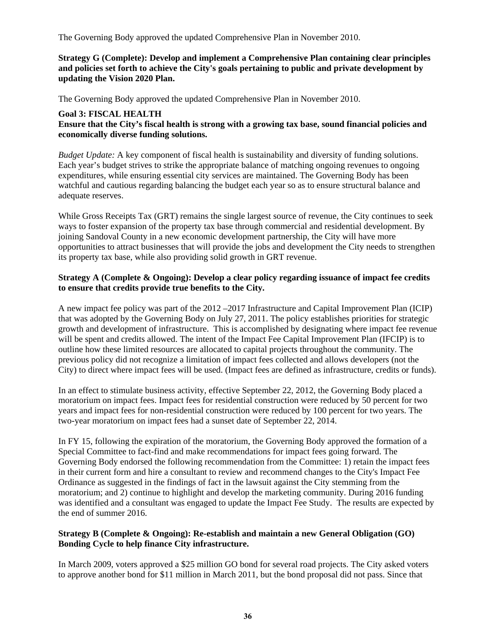The Governing Body approved the updated Comprehensive Plan in November 2010.

**Strategy G (Complete): Develop and implement a Comprehensive Plan containing clear principles and policies set forth to achieve the City's goals pertaining to public and private development by updating the Vision 2020 Plan.**

The Governing Body approved the updated Comprehensive Plan in November 2010.

# **Goal 3: FISCAL HEALTH**

**Ensure that the City's fiscal health is strong with a growing tax base, sound financial policies and economically diverse funding solutions.** 

*Budget Update:* A key component of fiscal health is sustainability and diversity of funding solutions. Each year's budget strives to strike the appropriate balance of matching ongoing revenues to ongoing expenditures, while ensuring essential city services are maintained. The Governing Body has been watchful and cautious regarding balancing the budget each year so as to ensure structural balance and adequate reserves.

While Gross Receipts Tax (GRT) remains the single largest source of revenue, the City continues to seek ways to foster expansion of the property tax base through commercial and residential development. By joining Sandoval County in a new economic development partnership, the City will have more opportunities to attract businesses that will provide the jobs and development the City needs to strengthen its property tax base, while also providing solid growth in GRT revenue.

## **Strategy A (Complete & Ongoing): Develop a clear policy regarding issuance of impact fee credits to ensure that credits provide true benefits to the City.**

A new impact fee policy was part of the 2012 –2017 Infrastructure and Capital Improvement Plan (ICIP) that was adopted by the Governing Body on July 27, 2011. The policy establishes priorities for strategic growth and development of infrastructure. This is accomplished by designating where impact fee revenue will be spent and credits allowed. The intent of the Impact Fee Capital Improvement Plan (IFCIP) is to outline how these limited resources are allocated to capital projects throughout the community. The previous policy did not recognize a limitation of impact fees collected and allows developers (not the City) to direct where impact fees will be used. (Impact fees are defined as infrastructure, credits or funds).

In an effect to stimulate business activity, effective September 22, 2012, the Governing Body placed a moratorium on impact fees. Impact fees for residential construction were reduced by 50 percent for two years and impact fees for non-residential construction were reduced by 100 percent for two years. The two-year moratorium on impact fees had a sunset date of September 22, 2014.

In FY 15, following the expiration of the moratorium, the Governing Body approved the formation of a Special Committee to fact-find and make recommendations for impact fees going forward. The Governing Body endorsed the following recommendation from the Committee: 1) retain the impact fees in their current form and hire a consultant to review and recommend changes to the City's Impact Fee Ordinance as suggested in the findings of fact in the lawsuit against the City stemming from the moratorium; and 2) continue to highlight and develop the marketing community. During 2016 funding was identified and a consultant was engaged to update the Impact Fee Study. The results are expected by the end of summer 2016.

## **Strategy B (Complete & Ongoing): Re-establish and maintain a new General Obligation (GO) Bonding Cycle to help finance City infrastructure.**

In March 2009, voters approved a \$25 million GO bond for several road projects. The City asked voters to approve another bond for \$11 million in March 2011, but the bond proposal did not pass. Since that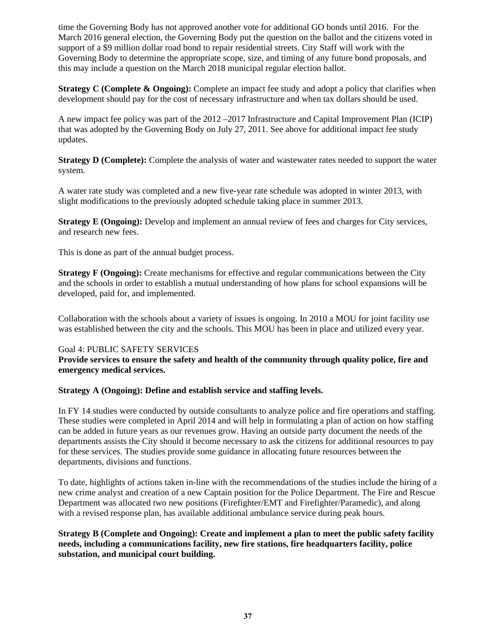time the Governing Body has not approved another vote for additional GO bonds until 2016. For the March 2016 general election, the Governing Body put the question on the ballot and the citizens voted in support of a \$9 million dollar road bond to repair residential streets. City Staff will work with the Governing Body to determine the appropriate scope, size, and timing of any future bond proposals, and this may include a question on the March 2018 municipal regular election ballot.

**Strategy C (Complete & Ongoing):** Complete an impact fee study and adopt a policy that clarifies when development should pay for the cost of necessary infrastructure and when tax dollars should be used.

A new impact fee policy was part of the 2012 –2017 Infrastructure and Capital Improvement Plan (ICIP) that was adopted by the Governing Body on July 27, 2011. See above for additional impact fee study updates.

**Strategy D (Complete):** Complete the analysis of water and wastewater rates needed to support the water system.

A water rate study was completed and a new five-year rate schedule was adopted in winter 2013, with slight modifications to the previously adopted schedule taking place in summer 2013.

**Strategy E (Ongoing):** Develop and implement an annual review of fees and charges for City services, and research new fees.

This is done as part of the annual budget process.

**Strategy F (Ongoing):** Create mechanisms for effective and regular communications between the City and the schools in order to establish a mutual understanding of how plans for school expansions will be developed, paid for, and implemented.

Collaboration with the schools about a variety of issues is ongoing. In 2010 a MOU for joint facility use was established between the city and the schools. This MOU has been in place and utilized every year.

## Goal 4: PUBLIC SAFETY SERVICES

#### **Provide services to ensure the safety and health of the community through quality police, fire and emergency medical services.**

## **Strategy A (Ongoing): Define and establish service and staffing levels.**

In FY 14 studies were conducted by outside consultants to analyze police and fire operations and staffing. These studies were completed in April 2014 and will help in formulating a plan of action on how staffing can be added in future years as our revenues grow. Having an outside party document the needs of the departments assists the City should it become necessary to ask the citizens for additional resources to pay for these services. The studies provide some guidance in allocating future resources between the departments, divisions and functions.

To date, highlights of actions taken in-line with the recommendations of the studies include the hiring of a new crime analyst and creation of a new Captain position for the Police Department. The Fire and Rescue Department was allocated two new positions (Firefighter/EMT and Firefighter/Paramedic), and along with a revised response plan, has available additional ambulance service during peak hours.

**Strategy B (Complete and Ongoing): Create and implement a plan to meet the public safety facility needs, including a communications facility, new fire stations, fire headquarters facility, police substation, and municipal court building.**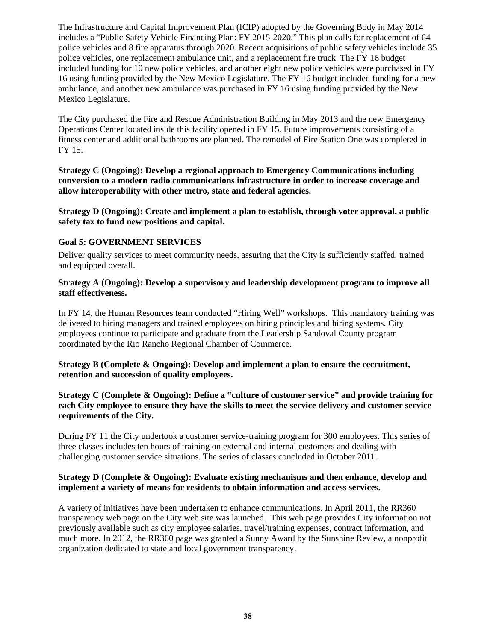The Infrastructure and Capital Improvement Plan (ICIP) adopted by the Governing Body in May 2014 includes a "Public Safety Vehicle Financing Plan: FY 2015-2020." This plan calls for replacement of 64 police vehicles and 8 fire apparatus through 2020. Recent acquisitions of public safety vehicles include 35 police vehicles, one replacement ambulance unit, and a replacement fire truck. The FY 16 budget included funding for 10 new police vehicles, and another eight new police vehicles were purchased in FY 16 using funding provided by the New Mexico Legislature. The FY 16 budget included funding for a new ambulance, and another new ambulance was purchased in FY 16 using funding provided by the New Mexico Legislature.

The City purchased the Fire and Rescue Administration Building in May 2013 and the new Emergency Operations Center located inside this facility opened in FY 15. Future improvements consisting of a fitness center and additional bathrooms are planned. The remodel of Fire Station One was completed in FY 15.

**Strategy C (Ongoing): Develop a regional approach to Emergency Communications including conversion to a modern radio communications infrastructure in order to increase coverage and allow interoperability with other metro, state and federal agencies.** 

**Strategy D (Ongoing): Create and implement a plan to establish, through voter approval, a public safety tax to fund new positions and capital.** 

#### **Goal 5: GOVERNMENT SERVICES**

Deliver quality services to meet community needs, assuring that the City is sufficiently staffed, trained and equipped overall.

#### **Strategy A (Ongoing): Develop a supervisory and leadership development program to improve all staff effectiveness.**

In FY 14, the Human Resources team conducted "Hiring Well" workshops. This mandatory training was delivered to hiring managers and trained employees on hiring principles and hiring systems. City employees continue to participate and graduate from the Leadership Sandoval County program coordinated by the Rio Rancho Regional Chamber of Commerce.

#### **Strategy B (Complete & Ongoing): Develop and implement a plan to ensure the recruitment, retention and succession of quality employees.**

**Strategy C (Complete & Ongoing): Define a "culture of customer service" and provide training for each City employee to ensure they have the skills to meet the service delivery and customer service requirements of the City.** 

During FY 11 the City undertook a customer service-training program for 300 employees. This series of three classes includes ten hours of training on external and internal customers and dealing with challenging customer service situations. The series of classes concluded in October 2011.

## **Strategy D (Complete & Ongoing): Evaluate existing mechanisms and then enhance, develop and implement a variety of means for residents to obtain information and access services.**

A variety of initiatives have been undertaken to enhance communications. In April 2011, the RR360 transparency web page on the City web site was launched. This web page provides City information not previously available such as city employee salaries, travel/training expenses, contract information, and much more. In 2012, the RR360 page was granted a Sunny Award by the Sunshine Review, a nonprofit organization dedicated to state and local government transparency.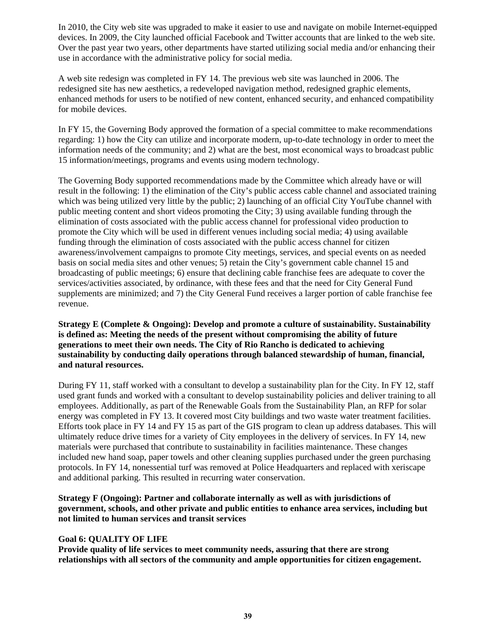In 2010, the City web site was upgraded to make it easier to use and navigate on mobile Internet-equipped devices. In 2009, the City launched official Facebook and Twitter accounts that are linked to the web site. Over the past year two years, other departments have started utilizing social media and/or enhancing their use in accordance with the administrative policy for social media.

A web site redesign was completed in FY 14. The previous web site was launched in 2006. The redesigned site has new aesthetics, a redeveloped navigation method, redesigned graphic elements, enhanced methods for users to be notified of new content, enhanced security, and enhanced compatibility for mobile devices.

In FY 15, the Governing Body approved the formation of a special committee to make recommendations regarding: 1) how the City can utilize and incorporate modern, up-to-date technology in order to meet the information needs of the community; and 2) what are the best, most economical ways to broadcast public 15 information/meetings, programs and events using modern technology.

The Governing Body supported recommendations made by the Committee which already have or will result in the following: 1) the elimination of the City's public access cable channel and associated training which was being utilized very little by the public; 2) launching of an official City YouTube channel with public meeting content and short videos promoting the City; 3) using available funding through the elimination of costs associated with the public access channel for professional video production to promote the City which will be used in different venues including social media; 4) using available funding through the elimination of costs associated with the public access channel for citizen awareness/involvement campaigns to promote City meetings, services, and special events on as needed basis on social media sites and other venues; 5) retain the City's government cable channel 15 and broadcasting of public meetings; 6) ensure that declining cable franchise fees are adequate to cover the services/activities associated, by ordinance, with these fees and that the need for City General Fund supplements are minimized; and 7) the City General Fund receives a larger portion of cable franchise fee revenue.

**Strategy E (Complete & Ongoing): Develop and promote a culture of sustainability. Sustainability is defined as: Meeting the needs of the present without compromising the ability of future generations to meet their own needs. The City of Rio Rancho is dedicated to achieving sustainability by conducting daily operations through balanced stewardship of human, financial, and natural resources.** 

During FY 11, staff worked with a consultant to develop a sustainability plan for the City. In FY 12, staff used grant funds and worked with a consultant to develop sustainability policies and deliver training to all employees. Additionally, as part of the Renewable Goals from the Sustainability Plan, an RFP for solar energy was completed in FY 13. It covered most City buildings and two waste water treatment facilities. Efforts took place in FY 14 and FY 15 as part of the GIS program to clean up address databases. This will ultimately reduce drive times for a variety of City employees in the delivery of services. In FY 14, new materials were purchased that contribute to sustainability in facilities maintenance. These changes included new hand soap, paper towels and other cleaning supplies purchased under the green purchasing protocols. In FY 14, nonessential turf was removed at Police Headquarters and replaced with xeriscape and additional parking. This resulted in recurring water conservation.

**Strategy F (Ongoing): Partner and collaborate internally as well as with jurisdictions of government, schools, and other private and public entities to enhance area services, including but not limited to human services and transit services** 

## **Goal 6: QUALITY OF LIFE**

**Provide quality of life services to meet community needs, assuring that there are strong relationships with all sectors of the community and ample opportunities for citizen engagement.**